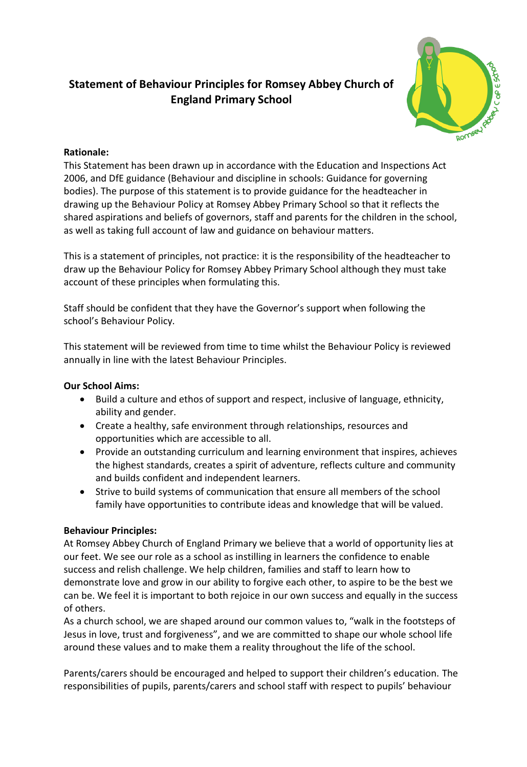# **Statement of Behaviour Principles for Romsey Abbey Church of England Primary School**



## **Rationale:**

This Statement has been drawn up in accordance with the Education and Inspections Act 2006, and DfE guidance (Behaviour and discipline in schools: Guidance for governing bodies). The purpose of this statement is to provide guidance for the headteacher in drawing up the Behaviour Policy at Romsey Abbey Primary School so that it reflects the shared aspirations and beliefs of governors, staff and parents for the children in the school, as well as taking full account of law and guidance on behaviour matters.

This is a statement of principles, not practice: it is the responsibility of the headteacher to draw up the Behaviour Policy for Romsey Abbey Primary School although they must take account of these principles when formulating this.

Staff should be confident that they have the Governor's support when following the school's Behaviour Policy.

This statement will be reviewed from time to time whilst the Behaviour Policy is reviewed annually in line with the latest Behaviour Principles.

### **Our School Aims:**

- Build a culture and ethos of support and respect, inclusive of language, ethnicity, ability and gender.
- Create a healthy, safe environment through relationships, resources and opportunities which are accessible to all.
- Provide an outstanding curriculum and learning environment that inspires, achieves the highest standards, creates a spirit of adventure, reflects culture and community and builds confident and independent learners.
- Strive to build systems of communication that ensure all members of the school family have opportunities to contribute ideas and knowledge that will be valued.

### **Behaviour Principles:**

At Romsey Abbey Church of England Primary we believe that a world of opportunity lies at our feet. We see our role as a school as instilling in learners the confidence to enable success and relish challenge. We help children, families and staff to learn how to demonstrate love and grow in our ability to forgive each other, to aspire to be the best we can be. We feel it is important to both rejoice in our own success and equally in the success of others.

As a church school, we are shaped around our common values to, "walk in the footsteps of Jesus in love, trust and forgiveness", and we are committed to shape our whole school life around these values and to make them a reality throughout the life of the school.

Parents/carers should be encouraged and helped to support their children's education. The responsibilities of pupils, parents/carers and school staff with respect to pupils' behaviour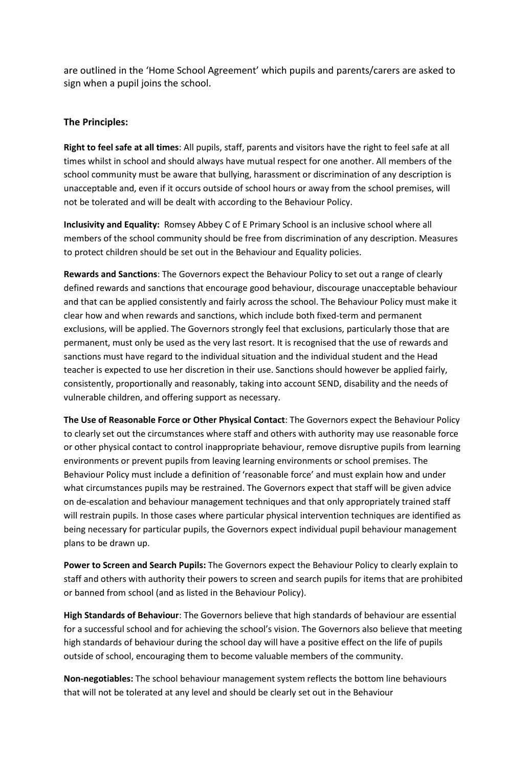are outlined in the 'Home School Agreement' which pupils and parents/carers are asked to sign when a pupil joins the school.

#### **The Principles:**

**Right to feel safe at all times**: All pupils, staff, parents and visitors have the right to feel safe at all times whilst in school and should always have mutual respect for one another. All members of the school community must be aware that bullying, harassment or discrimination of any description is unacceptable and, even if it occurs outside of school hours or away from the school premises, will not be tolerated and will be dealt with according to the Behaviour Policy.

**Inclusivity and Equality:** Romsey Abbey C of E Primary School is an inclusive school where all members of the school community should be free from discrimination of any description. Measures to protect children should be set out in the Behaviour and Equality policies.

**Rewards and Sanctions**: The Governors expect the Behaviour Policy to set out a range of clearly defined rewards and sanctions that encourage good behaviour, discourage unacceptable behaviour and that can be applied consistently and fairly across the school. The Behaviour Policy must make it clear how and when rewards and sanctions, which include both fixed-term and permanent exclusions, will be applied. The Governors strongly feel that exclusions, particularly those that are permanent, must only be used as the very last resort. It is recognised that the use of rewards and sanctions must have regard to the individual situation and the individual student and the Head teacher is expected to use her discretion in their use. Sanctions should however be applied fairly, consistently, proportionally and reasonably, taking into account SEND, disability and the needs of vulnerable children, and offering support as necessary.

**The Use of Reasonable Force or Other Physical Contact**: The Governors expect the Behaviour Policy to clearly set out the circumstances where staff and others with authority may use reasonable force or other physical contact to control inappropriate behaviour, remove disruptive pupils from learning environments or prevent pupils from leaving learning environments or school premises. The Behaviour Policy must include a definition of 'reasonable force' and must explain how and under what circumstances pupils may be restrained. The Governors expect that staff will be given advice on de-escalation and behaviour management techniques and that only appropriately trained staff will restrain pupils. In those cases where particular physical intervention techniques are identified as being necessary for particular pupils, the Governors expect individual pupil behaviour management plans to be drawn up.

**Power to Screen and Search Pupils:** The Governors expect the Behaviour Policy to clearly explain to staff and others with authority their powers to screen and search pupils for items that are prohibited or banned from school (and as listed in the Behaviour Policy).

**High Standards of Behaviour**: The Governors believe that high standards of behaviour are essential for a successful school and for achieving the school's vision. The Governors also believe that meeting high standards of behaviour during the school day will have a positive effect on the life of pupils outside of school, encouraging them to become valuable members of the community.

**Non-negotiables:** The school behaviour management system reflects the bottom line behaviours that will not be tolerated at any level and should be clearly set out in the Behaviour